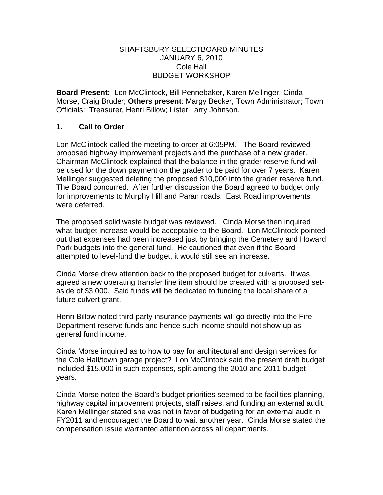## SHAFTSBURY SELECTBOARD MINUTES JANUARY 6, 2010 Cole Hall BUDGET WORKSHOP

**Board Present:** Lon McClintock, Bill Pennebaker, Karen Mellinger, Cinda Morse, Craig Bruder; **Others present**: Margy Becker, Town Administrator; Town Officials: Treasurer, Henri Billow; Lister Larry Johnson.

## **1. Call to Order**

Lon McClintock called the meeting to order at 6:05PM. The Board reviewed proposed highway improvement projects and the purchase of a new grader. Chairman McClintock explained that the balance in the grader reserve fund will be used for the down payment on the grader to be paid for over 7 years. Karen Mellinger suggested deleting the proposed \$10,000 into the grader reserve fund. The Board concurred. After further discussion the Board agreed to budget only for improvements to Murphy Hill and Paran roads. East Road improvements were deferred.

The proposed solid waste budget was reviewed. Cinda Morse then inquired what budget increase would be acceptable to the Board. Lon McClintock pointed out that expenses had been increased just by bringing the Cemetery and Howard Park budgets into the general fund. He cautioned that even if the Board attempted to level-fund the budget, it would still see an increase.

Cinda Morse drew attention back to the proposed budget for culverts. It was agreed a new operating transfer line item should be created with a proposed setaside of \$3,000. Said funds will be dedicated to funding the local share of a future culvert grant.

Henri Billow noted third party insurance payments will go directly into the Fire Department reserve funds and hence such income should not show up as general fund income.

Cinda Morse inquired as to how to pay for architectural and design services for the Cole Hall/town garage project? Lon McClintock said the present draft budget included \$15,000 in such expenses, split among the 2010 and 2011 budget years.

Cinda Morse noted the Board's budget priorities seemed to be facilities planning, highway capital improvement projects, staff raises, and funding an external audit. Karen Mellinger stated she was not in favor of budgeting for an external audit in FY2011 and encouraged the Board to wait another year. Cinda Morse stated the compensation issue warranted attention across all departments.